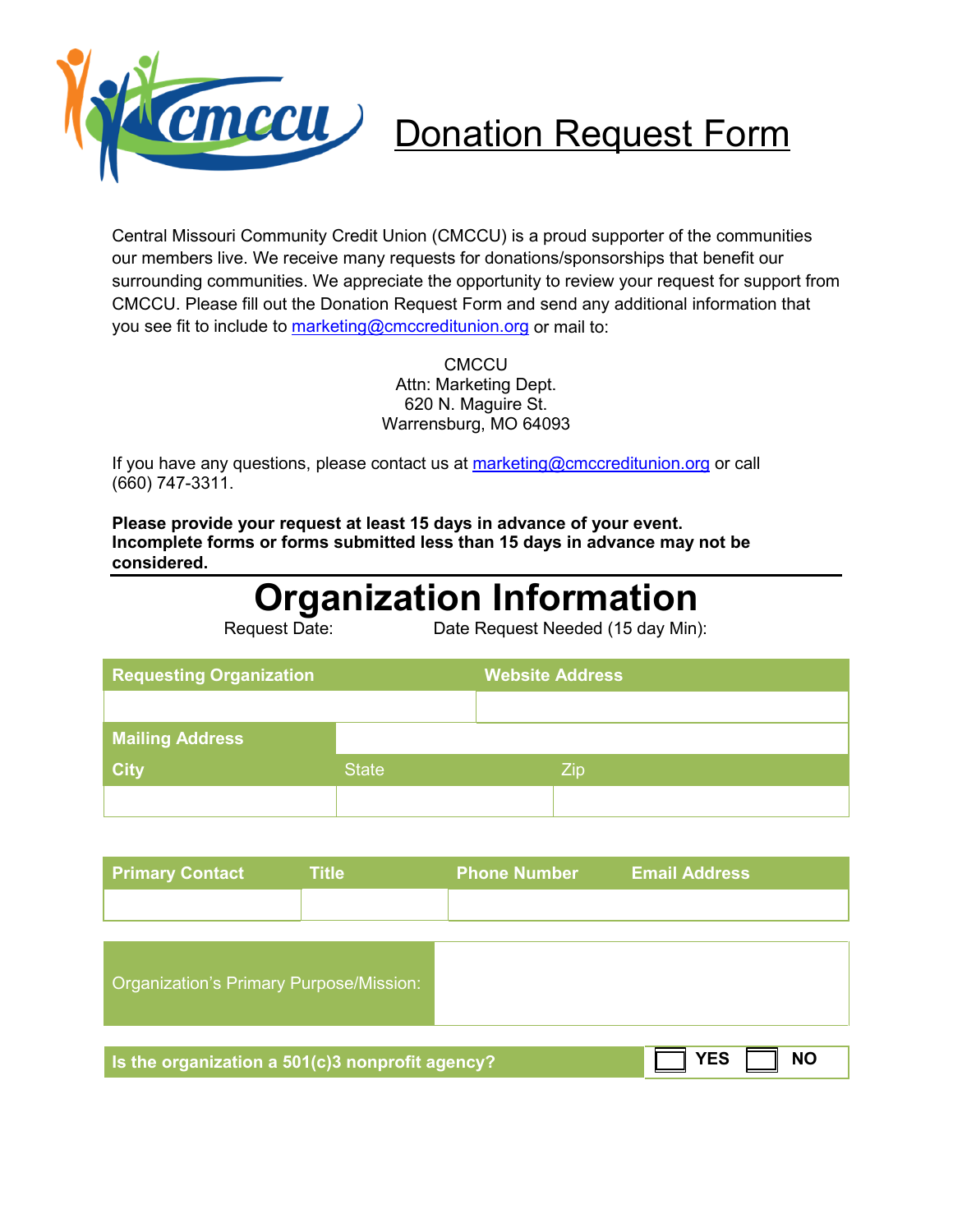

# CMCCU Donation Request Form

Central Missouri Community Credit Union (CMCCU) is a proud supporter of the communities our members live. We receive many requests for donations/sponsorships that benefit our surrounding communities. We appreciate the opportunity to review your request for support from CMCCU. Please fill out the Donation Request Form and send any additional information that you see fit to include to [marketing@cmccreditunion.org](mailto:marketing@cmccreditunion.org) or mail to:

> **CMCCU** Attn: Marketing Dept. 620 N. Maguire St. Warrensburg, MO 64093

If you have any questions, please contact us at [marketing@cmccreditunion.org](mailto:marketing@cmccreditunion.org) or call (660) 747-3311.

**Please provide your request at least 15 days in advance of your event. Incomplete forms or forms submitted less than 15 days in advance may not be considered.** 

## **Organization Information**<br>Date Request Needed (15 day Min)

Date Request Needed (15 day Min):

| <b>Requesting Organization</b> |              | <b>Website Address</b> |
|--------------------------------|--------------|------------------------|
|                                |              |                        |
| <b>Mailing Address</b>         |              |                        |
| <b>City</b>                    | <b>State</b> | Zip                    |
|                                |              |                        |

| <b>Primary Contact</b> | $\mathsf{Title}^1$ | <b>Phone Number</b> | <b>Email Address</b> |
|------------------------|--------------------|---------------------|----------------------|
|                        |                    |                     |                      |

| Organization's Primary Purpose/Mission:                      |            |           |
|--------------------------------------------------------------|------------|-----------|
|                                                              |            |           |
| Is the organization a $50\overline{1(c)}3$ nonprofit agency? | <b>YES</b> | <b>NO</b> |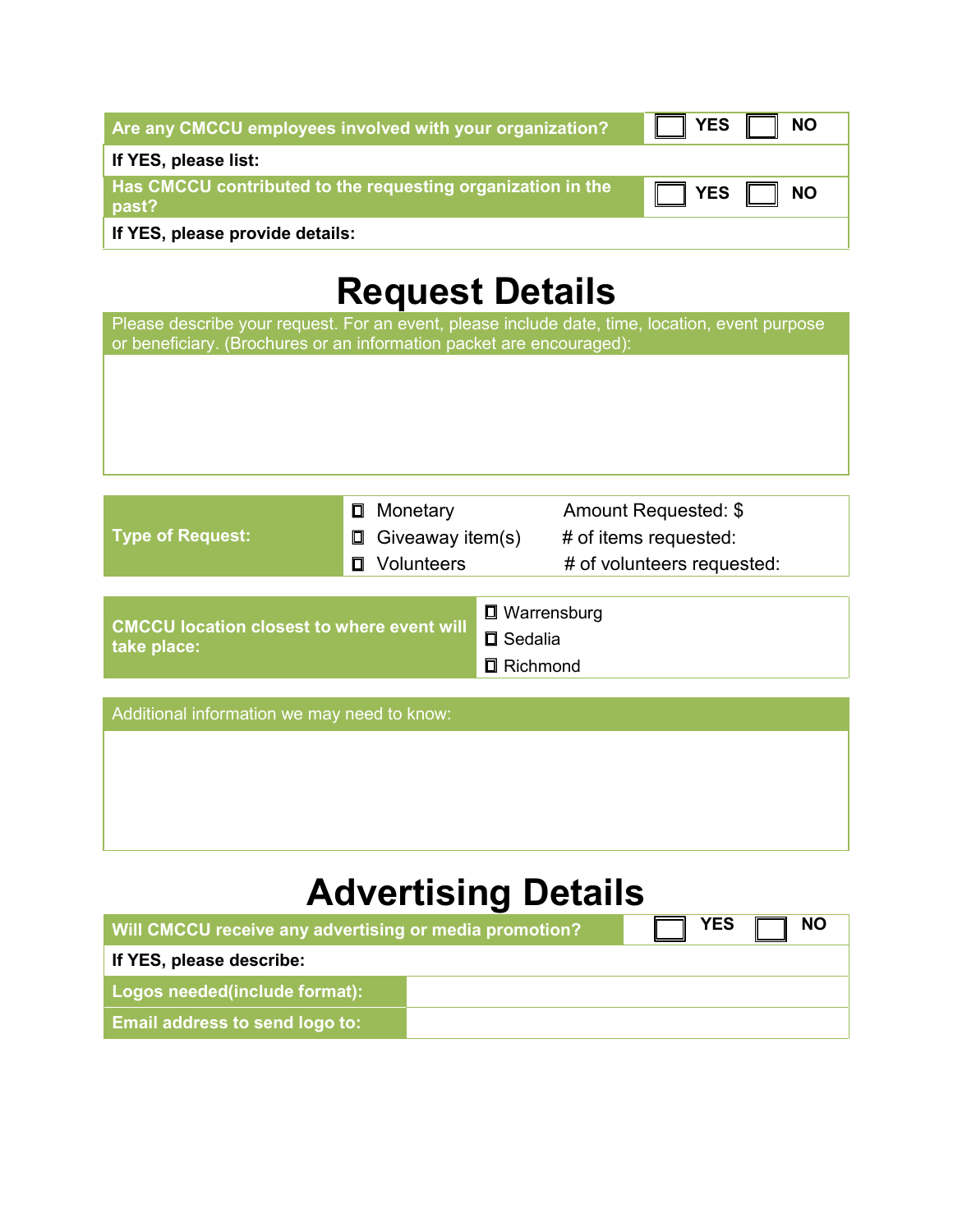| Are any CMCCU employees involved with your organization?             | ¶ YES<br><b>NO</b>   |
|----------------------------------------------------------------------|----------------------|
| If YES, please list:                                                 |                      |
| Has CMCCU contributed to the requesting organization in the<br>past? | $\Box$ YES $\Box$ NO |
| If YES, please provide details:                                      |                      |

### **Request Details**

Please describe your request. For an event, please include date, time, location, event purpose or beneficiary. (Brochures or an information packet are encouraged):

|                           | □ Monetary              | Amount Requested: \$       |
|---------------------------|-------------------------|----------------------------|
| Type of Request: <b>A</b> | $\Box$ Giveaway item(s) | # of items requested:      |
|                           | □ Volunteers            | # of volunteers requested: |
|                           |                         |                            |
|                           |                         |                            |

|                                                           | <b>□</b> Warrensburg |
|-----------------------------------------------------------|----------------------|
| CMCCU location closest to where event will<br>take place: | $\square$ Sedalia    |
|                                                           | □ Richmond           |
|                                                           |                      |

| Additional information we may need to know: |  |  |  |  |
|---------------------------------------------|--|--|--|--|
|                                             |  |  |  |  |
|                                             |  |  |  |  |
|                                             |  |  |  |  |
|                                             |  |  |  |  |

## **Advertising Details**

| Will CMCCU receive any advertising or media promotion? | <b>YES</b><br>- NO |
|--------------------------------------------------------|--------------------|
| If YES, please describe:                               |                    |
| Logos needed(include format):                          |                    |
| <b>Email address to send logo to:</b>                  |                    |